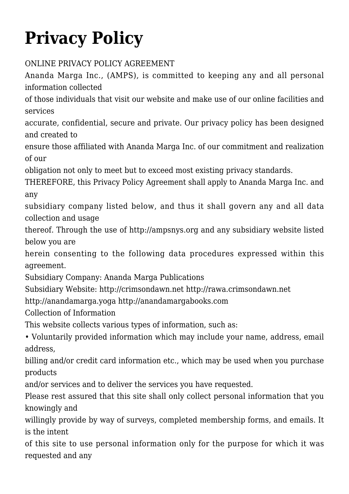## **[Privacy Policy](https://crimsondawn.net/privacy-policy/)**

## ONLINE PRIVACY POLICY AGREEMENT

Ananda Marga Inc., (AMPS), is committed to keeping any and all personal information collected

of those individuals that visit our website and make use of our online facilities and services

accurate, confidential, secure and private. Our privacy policy has been designed and created to

ensure those affiliated with Ananda Marga Inc. of our commitment and realization of our

obligation not only to meet but to exceed most existing privacy standards.

THEREFORE, this Privacy Policy Agreement shall apply to Ananda Marga Inc. and any

subsidiary company listed below, and thus it shall govern any and all data collection and usage

thereof. Through the use of [http://ampsnys.org](http://ampsnys.org/) and any subsidiary website listed below you are

herein consenting to the following data procedures expressed within this agreement.

Subsidiary Company: Ananda Marga Publications

Subsidiary Website: [http://crimsondawn.net](http://crimsondawn.net/) [http://rawa.crimsondawn.net](http://rawa.crimsondawn.net/)

[http://anandamarga.yoga](http://anandamarga.yoga/) <http://anandamargabooks.com>

Collection of Information

This website collects various types of information, such as:

• Voluntarily provided information which may include your name, address, email address,

billing and/or credit card information etc., which may be used when you purchase products

and/or services and to deliver the services you have requested.

Please rest assured that this site shall only collect personal information that you knowingly and

willingly provide by way of surveys, completed membership forms, and emails. It is the intent

of this site to use personal information only for the purpose for which it was requested and any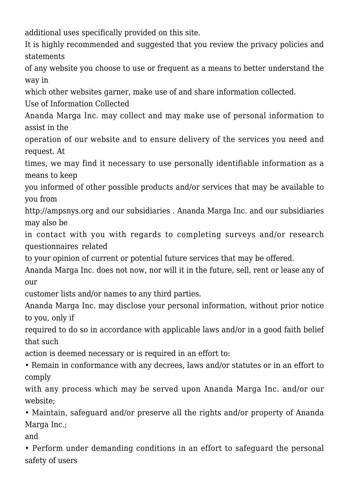additional uses specifically provided on this site.

It is highly recommended and suggested that you review the privacy policies and statements

of any website you choose to use or frequent as a means to better understand the way in

which other websites garner, make use of and share information collected.

Use of Information Collected

Ananda Marga Inc. may collect and may make use of personal information to assist in the

operation of our website and to ensure delivery of the services you need and request. At

times, we may find it necessary to use personally identifiable information as a means to keep

you informed of other possible products and/or services that may be available to you from

[http://ampsnys.org](http://ampsnys.org/) and our subsidiaries . Ananda Marga Inc. and our subsidiaries may also be

in contact with you with regards to completing surveys and/or research questionnaires related

to your opinion of current or potential future services that may be offered.

Ananda Marga Inc. does not now, nor will it in the future, sell, rent or lease any of our

customer lists and/or names to any third parties.

Ananda Marga Inc. may disclose your personal information, without prior notice to you, only if

required to do so in accordance with applicable laws and/or in a good faith belief that such

action is deemed necessary or is required in an effort to:

• Remain in conformance with any decrees, laws and/or statutes or in an effort to comply

with any process which may be served upon Ananda Marga Inc. and/or our website;

• Maintain, safeguard and/or preserve all the rights and/or property of Ananda Marga Inc.;

and

• Perform under demanding conditions in an effort to safeguard the personal safety of users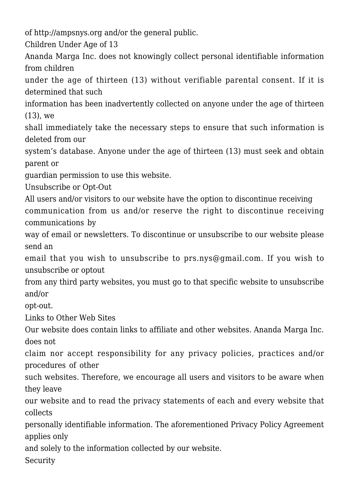of [http://ampsnys.org](http://ampsnys.org/) and/or the general public.

Children Under Age of 13

Ananda Marga Inc. does not knowingly collect personal identifiable information from children

under the age of thirteen (13) without verifiable parental consent. If it is determined that such

information has been inadvertently collected on anyone under the age of thirteen (13), we

shall immediately take the necessary steps to ensure that such information is deleted from our

system's database. Anyone under the age of thirteen (13) must seek and obtain parent or

guardian permission to use this website.

Unsubscribe or Opt-Out

All users and/or visitors to our website have the option to discontinue receiving communication from us and/or reserve the right to discontinue receiving communications by

way of email or newsletters. To discontinue or unsubscribe to our website please send an

email that you wish to unsubscribe to [prs.nys@gmail.com](mailto:prs.nys@gmail.com). If you wish to unsubscribe or optout

from any third party websites, you must go to that specific website to unsubscribe and/or

opt-out.

Links to Other Web Sites

Our website does contain links to affiliate and other websites. Ananda Marga Inc. does not

claim nor accept responsibility for any privacy policies, practices and/or procedures of other

such websites. Therefore, we encourage all users and visitors to be aware when they leave

our website and to read the privacy statements of each and every website that collects

personally identifiable information. The aforementioned Privacy Policy Agreement applies only

and solely to the information collected by our website.

Security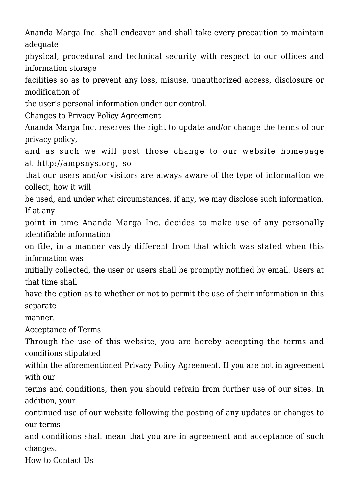Ananda Marga Inc. shall endeavor and shall take every precaution to maintain adequate

physical, procedural and technical security with respect to our offices and information storage

facilities so as to prevent any loss, misuse, unauthorized access, disclosure or modification of

the user's personal information under our control.

Changes to Privacy Policy Agreement

Ananda Marga Inc. reserves the right to update and/or change the terms of our privacy policy,

and as such we will post those change to our website homepage at [http://ampsnys.org,](http://ampsnys.org/) so

that our users and/or visitors are always aware of the type of information we collect, how it will

be used, and under what circumstances, if any, we may disclose such information. If at any

point in time Ananda Marga Inc. decides to make use of any personally identifiable information

on file, in a manner vastly different from that which was stated when this information was

initially collected, the user or users shall be promptly notified by email. Users at that time shall

have the option as to whether or not to permit the use of their information in this separate

manner.

Acceptance of Terms

Through the use of this website, you are hereby accepting the terms and conditions stipulated

within the aforementioned Privacy Policy Agreement. If you are not in agreement with our

terms and conditions, then you should refrain from further use of our sites. In addition, your

continued use of our website following the posting of any updates or changes to our terms

and conditions shall mean that you are in agreement and acceptance of such changes.

How to Contact Us